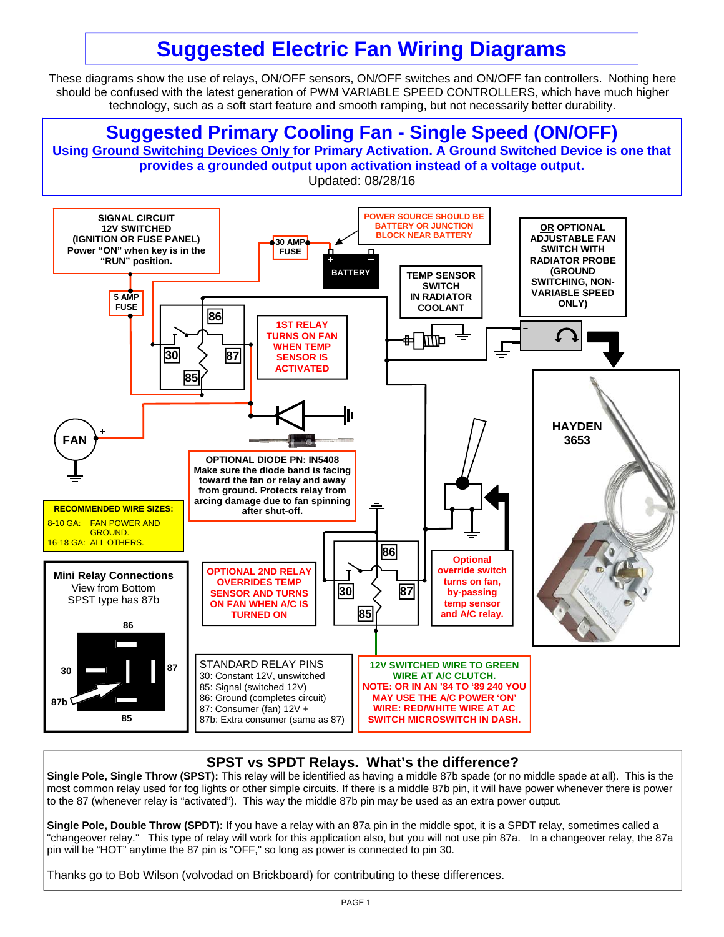# **Suggested Electric Fan Wiring Diagrams**

These diagrams show the use of relays, ON/OFF sensors, ON/OFF switches and ON/OFF fan controllers. Nothing here should be confused with the latest generation of PWM VARIABLE SPEED CONTROLLERS, which have much higher technology, such as a soft start feature and smooth ramping, but not necessarily better durability.



#### **SPST vs SPDT Relays. What's the difference?**

**Single Pole, Single Throw (SPST):** This relay will be identified as having a middle 87b spade (or no middle spade at all). This is the most common relay used for fog lights or other simple circuits. If there is a middle 87b pin, it will have power whenever there is power to the 87 (whenever relay is "activated"). This way the middle 87b pin may be used as an extra power output.

**Single Pole, Double Throw (SPDT):** If you have a relay with an 87a pin in the middle spot, it is a SPDT relay, sometimes called a "changeover relay." This type of relay will work for this application also, but you will not use pin 87a. In a changeover relay, the 87a pin will be "HOT" anytime the 87 pin is "OFF," so long as power is connected to pin 30.

Thanks go to Bob Wilson (volvodad on Brickboard) for contributing to these differences.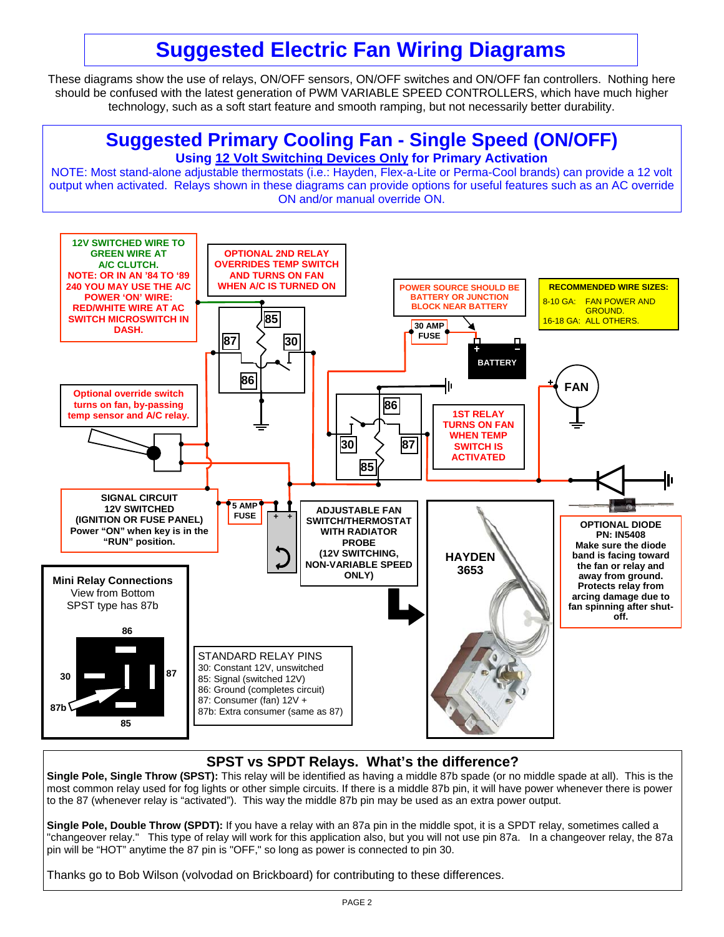# **Suggested Electric Fan Wiring Diagrams**

These diagrams show the use of relays, ON/OFF sensors, ON/OFF switches and ON/OFF fan controllers. Nothing here should be confused with the latest generation of PWM VARIABLE SPEED CONTROLLERS, which have much higher technology, such as a soft start feature and smooth ramping, but not necessarily better durability.



#### **SPST vs SPDT Relays. What's the difference?**

**Single Pole, Single Throw (SPST):** This relay will be identified as having a middle 87b spade (or no middle spade at all). This is the most common relay used for fog lights or other simple circuits. If there is a middle 87b pin, it will have power whenever there is power to the 87 (whenever relay is "activated"). This way the middle 87b pin may be used as an extra power output.

**Single Pole, Double Throw (SPDT):** If you have a relay with an 87a pin in the middle spot, it is a SPDT relay, sometimes called a "changeover relay." This type of relay will work for this application also, but you will not use pin 87a. In a changeover relay, the 87a pin will be "HOT" anytime the 87 pin is "OFF," so long as power is connected to pin 30.

Thanks go to Bob Wilson (volvodad on Brickboard) for contributing to these differences.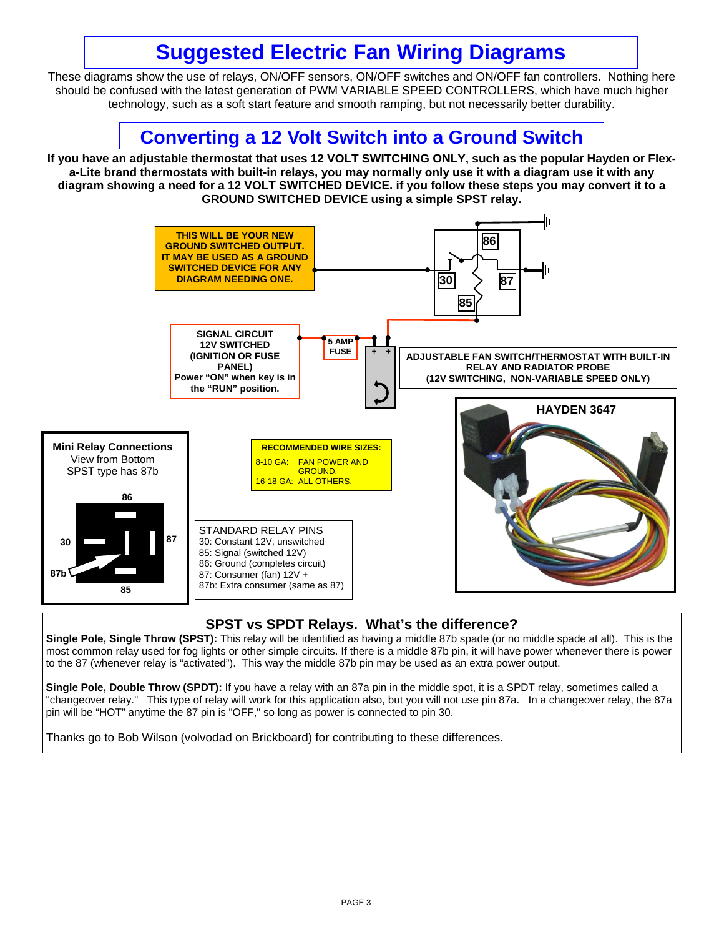# **Suggested Electric Fan Wiring Diagrams**

These diagrams show the use of relays, ON/OFF sensors, ON/OFF switches and ON/OFF fan controllers. Nothing here should be confused with the latest generation of PWM VARIABLE SPEED CONTROLLERS, which have much higher technology, such as a soft start feature and smooth ramping, but not necessarily better durability.



#### **SPST vs SPDT Relays. What's the difference?**

**Single Pole, Single Throw (SPST):** This relay will be identified as having a middle 87b spade (or no middle spade at all). This is the most common relay used for fog lights or other simple circuits. If there is a middle 87b pin, it will have power whenever there is power to the 87 (whenever relay is "activated"). This way the middle 87b pin may be used as an extra power output.

**Single Pole, Double Throw (SPDT):** If you have a relay with an 87a pin in the middle spot, it is a SPDT relay, sometimes called a "changeover relay." This type of relay will work for this application also, but you will not use pin 87a. In a changeover relay, the 87a pin will be "HOT" anytime the 87 pin is "OFF," so long as power is connected to pin 30.

Thanks go to Bob Wilson (volvodad on Brickboard) for contributing to these differences.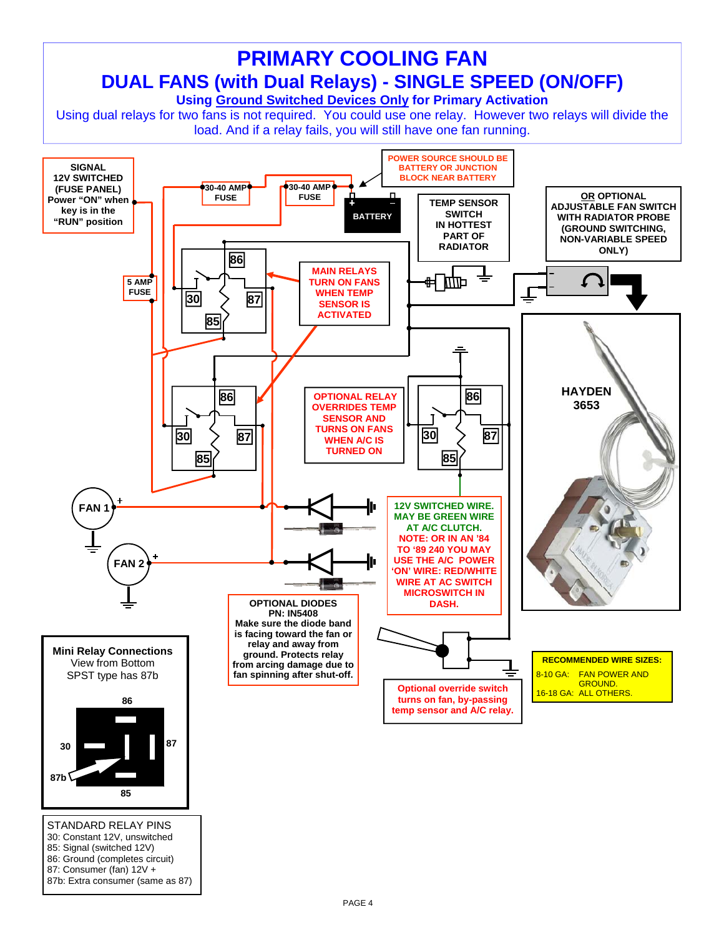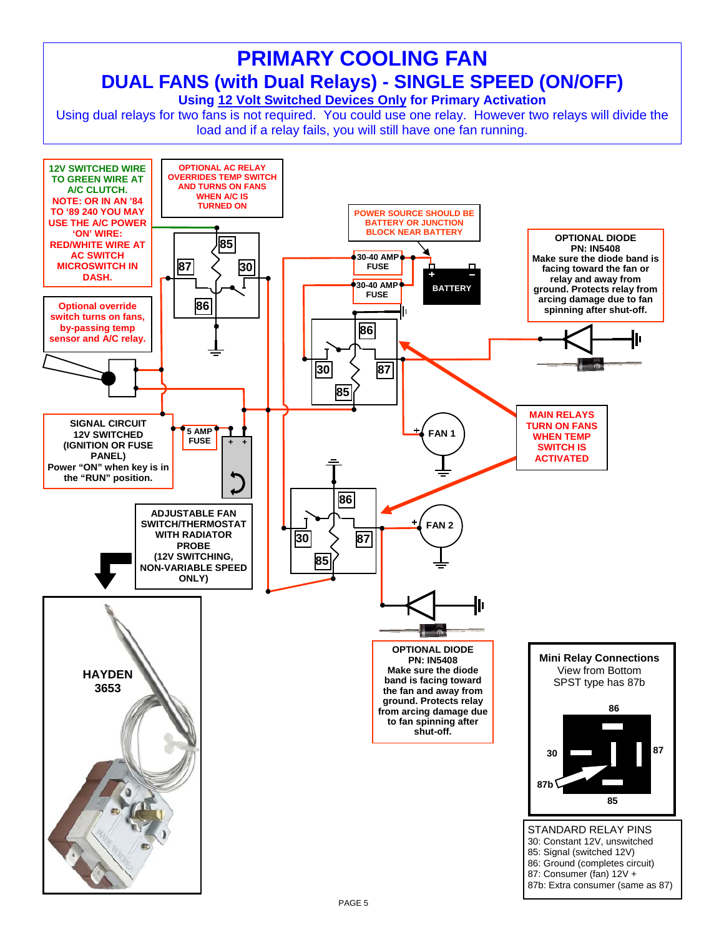# **PRIMARY COOLING FAN DUAL FANS (with Dual Relays) - SINGLE SPEED (ON/OFF)**

**Using 12 Volt Switched Devices Only for Primary Activation** 

Using dual relays for two fans is not required. You could use one relay. However two relays will divide the load and if a relay fails, you will still have one fan running.

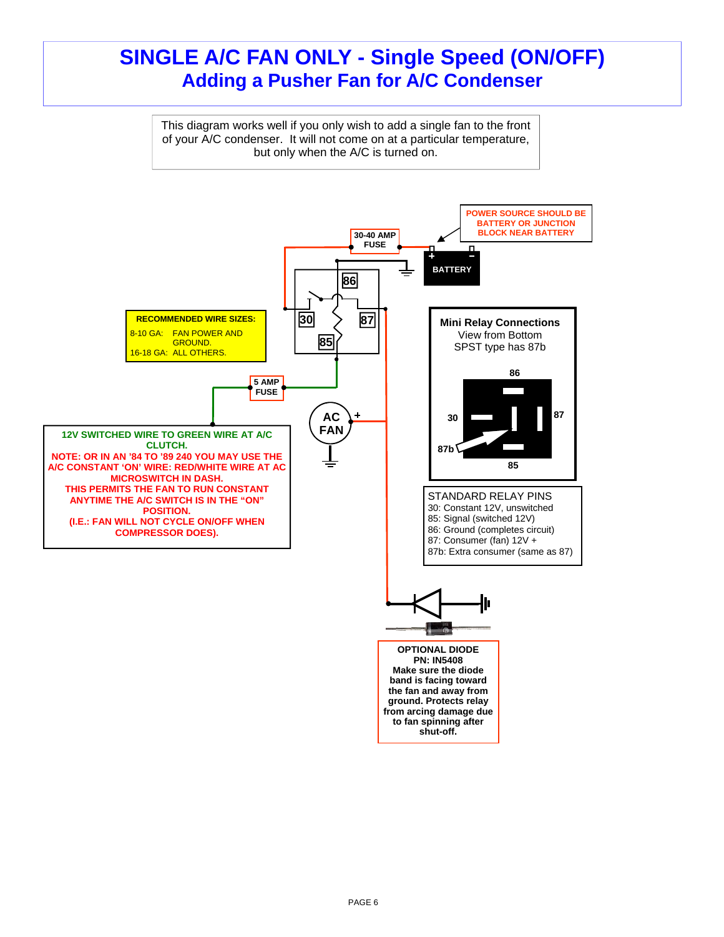### **SINGLE A/C FAN ONLY - Single Speed (ON/OFF) Adding a Pusher Fan for A/C Condenser**

This diagram works well if you only wish to add a single fan to the front of your A/C condenser. It will not come on at a particular temperature, but only when the A/C is turned on.

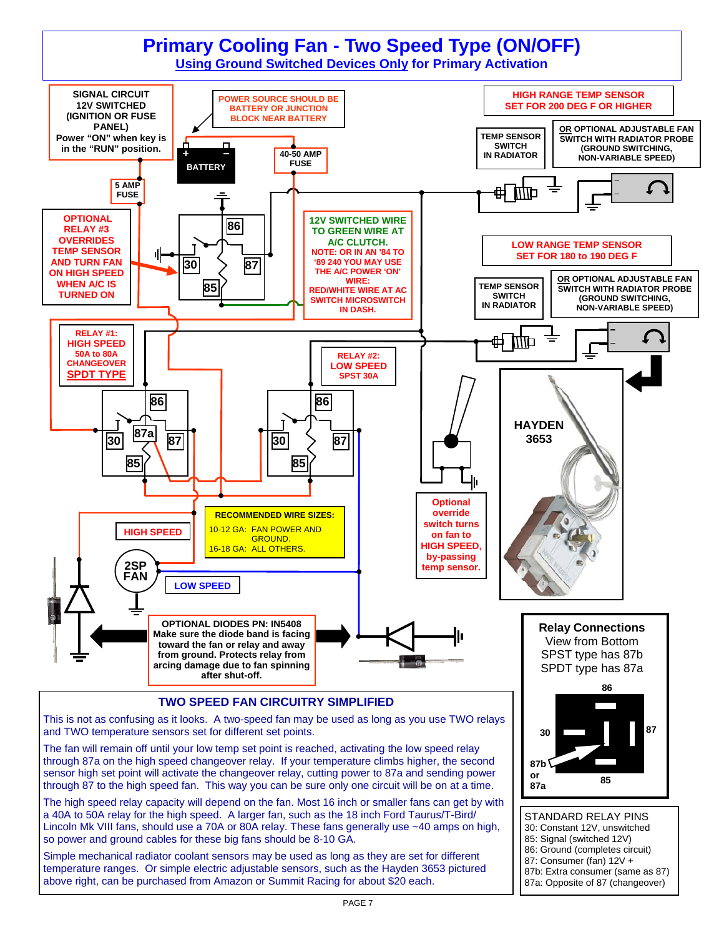## **Primary Cooling Fan - Two Speed Type (ON/OFF)**

**Using Ground Switched Devices Only for Primary Activation**